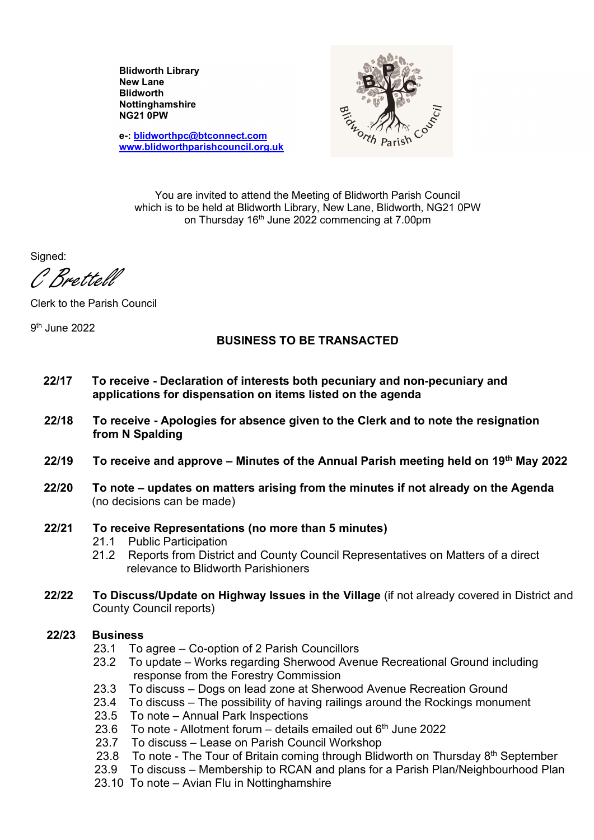Blidworth Library New Lane **Blidworth** Nottinghamshire NG21 0PW

NG21 0PW<br>
e-: blidworthpc@btconnect.com<br>
www.blidworthparishcouncil.org.uk<br>
You are invited to attend the Meeting of Blidworth Parish Council

e-: blidworthpc@btconnect.com www.blidworthparishcouncil.org.uk

which is to be held at Blidworth Library, New Lane, Blidworth, NG21 0PW on Thursday  $16<sup>th</sup>$  June 2022 commencing at 7.00pm

Signed:

C Brettell

Clerk to the Parish Council

9 th June 2022

### BUSINESS TO BE TRANSACTED

- 22/17 To receive Declaration of interests both pecuniary and non-pecuniary and applications for dispensation on items listed on the agenda
- 22/18 To receive Apologies for absence given to the Clerk and to note the resignation from N Spalding
- 22/19 To receive and approve Minutes of the Annual Parish meeting held on 19th May 2022
- 22/20 To note updates on matters arising from the minutes if not already on the Agenda (no decisions can be made)

#### 22/21 To receive Representations (no more than 5 minutes)

- 21.1 Public Participation
- 21.2 Reports from District and County Council Representatives on Matters of a direct relevance to Blidworth Parishioners
- 22/22 To Discuss/Update on Highway Issues in the Village (if not already covered in District and County Council reports)

# 22/23 Business

- 23.1 To agree Co-option of 2 Parish Councillors
- 23.2 To update Works regarding Sherwood Avenue Recreational Ground including response from the Forestry Commission
- 23.3 To discuss Dogs on lead zone at Sherwood Avenue Recreation Ground
- 23.4 To discuss The possibility of having railings around the Rockings monument
- 23.5 To note Annual Park Inspections
- 23.6 To note Allotment forum details emailed out  $6<sup>th</sup>$  June 2022
- 23.7 To discuss Lease on Parish Council Workshop
- 23.8 To note The Tour of Britain coming through Blidworth on Thursday  $8<sup>th</sup>$  September
- 23.9 To discuss Membership to RCAN and plans for a Parish Plan/Neighbourhood Plan
- 23.10 To note Avian Flu in Nottinghamshire